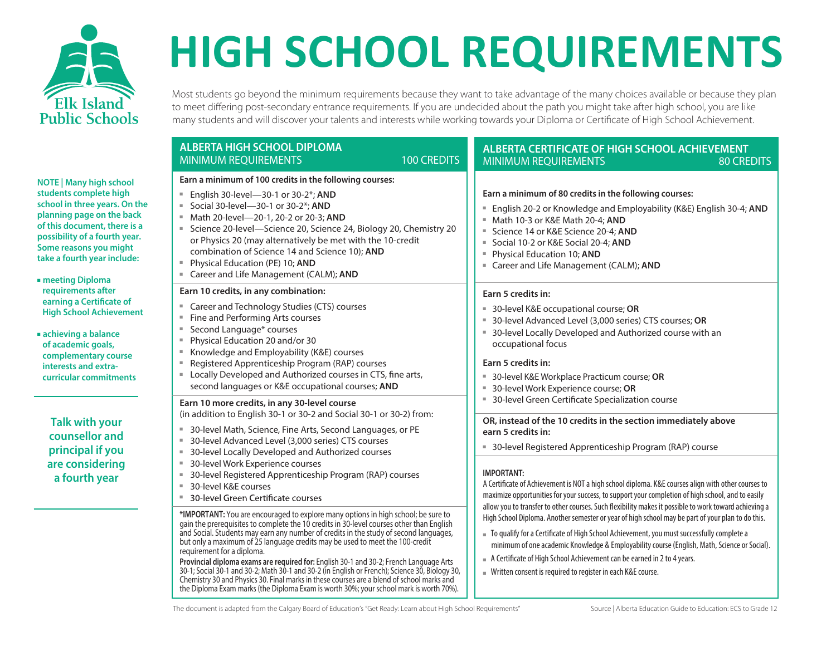

**NOTE | Many high school students complete high school in three years. On the planning page on the back of this document, there is a possibility of a fourth year. Some reasons you might take a fourth year include:**

- **meeting Diploma requirements after earning a Certificate of High School Achievement**
- **achieving a balance of academic goals, complementary course interests and extracurricular commitments**

**Talk with your counsellor and principal if you are considering a fourth year**

## **HIGH SCHOOL REQUIREMENTS**

Most students go beyond the minimum requirements because they want to take advantage of the many choices available or because they plan to meet differing post-secondary entrance requirements. If you are undecided about the path you might take after high school, you are like many students and will discover your talents and interests while working towards your Diploma or Certificate of High School Achievement.

| <b>ALBERTA HIGH SCHOOL DIPLOMA</b><br><b>100 CREDITS</b><br><b>MINIMUM REQUIREMENTS</b>                                                                                                                                                                                                                                                                                                                                                                                                                                                                                                                                                                                                                                                                                                                                                            | <b>ALBERTA CERTIFICATE OF HIGH SCHOOL ACHIEVEMENT</b><br><b>MINIMUM REQUIREMENTS</b><br><b>80 CREDITS</b>                                                                                                                                                                                                                                                                                                                                                                                                                                                                                                                                                                                                                                                                                                                                          |  |  |  |  |  |
|----------------------------------------------------------------------------------------------------------------------------------------------------------------------------------------------------------------------------------------------------------------------------------------------------------------------------------------------------------------------------------------------------------------------------------------------------------------------------------------------------------------------------------------------------------------------------------------------------------------------------------------------------------------------------------------------------------------------------------------------------------------------------------------------------------------------------------------------------|----------------------------------------------------------------------------------------------------------------------------------------------------------------------------------------------------------------------------------------------------------------------------------------------------------------------------------------------------------------------------------------------------------------------------------------------------------------------------------------------------------------------------------------------------------------------------------------------------------------------------------------------------------------------------------------------------------------------------------------------------------------------------------------------------------------------------------------------------|--|--|--|--|--|
| Earn a minimum of 100 credits in the following courses:<br>English 30-level-30-1 or 30-2*; AND<br>ш.<br>Social 30-level-30-1 or 30-2*; AND<br>u.<br>Math 20-level-20-1, 20-2 or 20-3; AND<br>Science 20-level-Science 20, Science 24, Biology 20, Chemistry 20<br>or Physics 20 (may alternatively be met with the 10-credit<br>combination of Science 14 and Science 10); AND<br>Physical Education (PE) 10: AND<br>$\equiv$<br>" Career and Life Management (CALM); AND                                                                                                                                                                                                                                                                                                                                                                          | Earn a minimum of 80 credits in the following courses:<br>English 20-2 or Knowledge and Employability (K&E) English 30-4; AND<br>Math 10-3 or K&E Math 20-4; AND<br>Science 14 or K&E Science 20-4: AND<br>Social 10-2 or K&E Social 20-4; AND<br>Physical Education 10; AND<br>" Career and Life Management (CALM); AND                                                                                                                                                                                                                                                                                                                                                                                                                                                                                                                           |  |  |  |  |  |
| Earn 10 credits, in any combination:<br>Career and Technology Studies (CTS) courses<br>ш.<br>Fine and Performing Arts courses<br>Second Language* courses<br>ш<br>Physical Education 20 and/or 30<br>ш<br>Knowledge and Employability (K&E) courses<br>Registered Apprenticeship Program (RAP) courses<br>" Locally Developed and Authorized courses in CTS, fine arts,<br>second languages or K&E occupational courses; AND                                                                                                                                                                                                                                                                                                                                                                                                                       | Earn 5 credits in:<br>30-level K&E occupational course; OR<br>30-level Advanced Level (3,000 series) CTS courses; OR<br>30-level Locally Developed and Authorized course with an<br>occupational focus<br>Earn 5 credits in:<br>■ 30-level K&E Workplace Practicum course; OR<br>30-level Work Experience course; OR                                                                                                                                                                                                                                                                                                                                                                                                                                                                                                                               |  |  |  |  |  |
| Earn 10 more credits, in any 30-level course<br>(in addition to English 30-1 or 30-2 and Social 30-1 or 30-2) from:<br>30-level Math, Science, Fine Arts, Second Languages, or PE<br>30-level Advanced Level (3,000 series) CTS courses<br>30-level Locally Developed and Authorized courses<br>30-level Work Experience courses<br>30-level Registered Apprenticeship Program (RAP) courses<br>30-level K&E courses<br>30-level Green Certificate courses<br>*IMPORTANT: You are encouraged to explore many options in high school; be sure to<br>gain the prerequisites to complete the 10 credits in 30-level courses other than English<br>and Social. Students may earn any number of credits in the study of second languages,<br>but only a maximum of 25 language credits may be used to meet the 100-credit<br>requirement for a diploma. | 30-level Green Certificate Specialization course<br>OR, instead of the 10 credits in the section immediately above<br>earn 5 credits in:<br>■ 30-level Registered Apprenticeship Program (RAP) course<br><b>IMPORTANT:</b><br>A Certificate of Achievement is NOT a high school diploma. K&E courses align with other courses to<br>maximize opportunities for your success, to support your completion of high school, and to easily<br>allow you to transfer to other courses. Such flexibility makes it possible to work toward achieving a<br>High School Diploma. Another semester or year of high school may be part of your plan to do this.<br>■ To qualify for a Certificate of High School Achievement, you must successfully complete a<br>minimum of one academic Knowledge & Employability course (English, Math, Science or Social). |  |  |  |  |  |
| Provincial diploma exams are required for: English 30-1 and 30-2; French Language Arts<br>30-1; Social 30-1 and 30-2; Math 30-1 and 30-2 (in English or French); Science 30, Biology 30,<br>Chemistry 30 and Physics 30. Final marks in these courses are a blend of school marks and<br>the Diploma Exam marks (the Diploma Exam is worth 30%; your school mark is worth 70%).                                                                                                                                                                                                                                                                                                                                                                                                                                                                    | A Certificate of High School Achievement can be earned in 2 to 4 years.<br>■ Written consent is required to register in each K&E course.                                                                                                                                                                                                                                                                                                                                                                                                                                                                                                                                                                                                                                                                                                           |  |  |  |  |  |

The document is adapted from the Calgary Board of Education's "Get Ready: Learn about High School Requirements" Source | Alberta Education Guide to Education: ECS to Grade 12